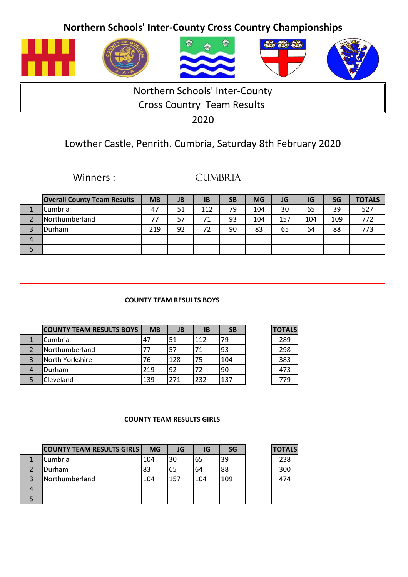

# Northern Schools' Inter-County Cross Country Team Results

## Lowther Castle, Penrith. Cumbria, Saturday 8th February 2020

Winners : CUMBRIA

|   | <b>Overall County Team Results</b> | <b>MB</b> | <b>JB</b> | ΙB  | <b>SB</b> | <b>MG</b> | JG  | IG  | SG  | <b>TOTALS</b> |
|---|------------------------------------|-----------|-----------|-----|-----------|-----------|-----|-----|-----|---------------|
|   | Cumbria                            | 47        | 51        | 112 | 79        | 104       | 30  | 65  | 39  | 527           |
|   | Northumberland                     | 77        | 57        | 71  | 93        | 104       | 157 | 104 | 109 | 772           |
|   | Durham                             | 219       | 92        | 72  | 90        | 83        | 65  | 64  | 88  | 773           |
| 4 |                                    |           |           |     |           |           |     |     |     |               |
| כ |                                    |           |           |     |           |           |     |     |     |               |

#### COUNTY TEAM RESULTS BOYS

| <b>COUNTY TEAM RESULTS BOYS</b> | <b>MB</b> | JB    | <b>IB</b> | <b>SB</b> | <b>TOTALS</b> |
|---------------------------------|-----------|-------|-----------|-----------|---------------|
| Cumbria                         | ,47       | 51    | 112       | 79        | 289           |
| Northumberland                  | 77        | $-57$ | 71        | 93        | 298           |
| North Yorkshire                 | 76        | 128   | 75        | 104       | 383           |
| Durham                          | 219       | 92    | 72        | 90        | 473           |
| Cleveland                       | 139       | 271   | 232       | 137       | 779           |

| OTALS |
|-------|
| 289   |
| 298   |
| 383   |
| 473   |
|       |

#### COUNTY TEAM RESULTS GIRLS

|  | <b>COUNTY TEAM RESULTS GIRLS</b> | <b>MG</b> | JG  | IG  | <b>SG</b> | <b>TOTALS</b> |
|--|----------------------------------|-----------|-----|-----|-----------|---------------|
|  | Cumbria                          | 104       | 30  | 65  | 39        | 238           |
|  | Durham                           | 83        | 65  | 64  | 88        | 300           |
|  | Northumberland                   | 104       | 157 | 104 | 109       | 474           |
|  |                                  |           |     |     |           |               |
|  |                                  |           |     |     |           |               |

| TOTALS |
|--------|
| 238    |
| 300    |
| 474    |
|        |
|        |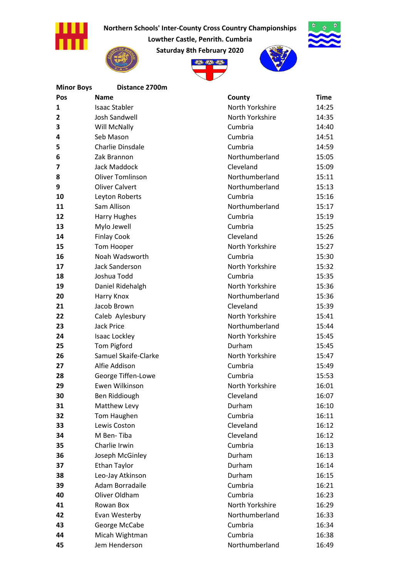

Lowther Castle, Penrith. Cumbria



Saturday 8th February 2020





| <b>Minor Boys</b> | Distance 2700m          |                 |             |
|-------------------|-------------------------|-----------------|-------------|
| Pos               | <b>Name</b>             | County          | <b>Time</b> |
| 1                 | <b>Isaac Stabler</b>    | North Yorkshire | 14:25       |
| 2                 | <b>Josh Sandwell</b>    | North Yorkshire | 14:35       |
| 3                 | Will McNally            | Cumbria         | 14:40       |
| 4                 | Seb Mason               | Cumbria         | 14:51       |
| 5                 | <b>Charlie Dinsdale</b> | Cumbria         | 14:59       |
| 6                 | Zak Brannon             | Northumberland  | 15:05       |
| 7                 | <b>Jack Maddock</b>     | Cleveland       | 15:09       |
| 8                 | <b>Oliver Tomlinson</b> | Northumberland  | 15:11       |
| 9                 | <b>Oliver Calvert</b>   | Northumberland  | 15:13       |
| 10                | Leyton Roberts          | Cumbria         | 15:16       |
| 11                | Sam Allison             | Northumberland  | 15:17       |
| 12                | <b>Harry Hughes</b>     | Cumbria         | 15:19       |
| 13                | Mylo Jewell             | Cumbria         | 15:25       |
| 14                | <b>Finlay Cook</b>      | Cleveland       | 15:26       |
| 15                | Tom Hooper              | North Yorkshire | 15:27       |
| 16                | Noah Wadsworth          | Cumbria         | 15:30       |
| 17                | <b>Jack Sanderson</b>   | North Yorkshire | 15:32       |
| 18                | Joshua Todd             | Cumbria         | 15:35       |
| 19                | Daniel Ridehalgh        | North Yorkshire | 15:36       |
| 20                | Harry Knox              | Northumberland  | 15:36       |
| 21                | Jacob Brown             | Cleveland       | 15:39       |
| 22                | Caleb Aylesbury         | North Yorkshire | 15:41       |
| 23                | <b>Jack Price</b>       | Northumberland  | 15:44       |
| 24                | Isaac Lockley           | North Yorkshire | 15:45       |
| 25                | Tom Pigford             | Durham          | 15:45       |
| 26                | Samuel Skaife-Clarke    | North Yorkshire | 15:47       |
| 27                | Alfie Addison           | Cumbria         | 15:49       |
| 28                | George Tiffen-Lowe      | Cumbria         | 15:53       |
| 29                | Ewen Wilkinson          | North Yorkshire | 16:01       |
| 30                | Ben Riddiough           | Cleveland       | 16:07       |
| 31                | Matthew Levy            | Durham          | 16:10       |
| 32                | Tom Haughen             | Cumbria         | 16:11       |
| 33                | Lewis Coston            | Cleveland       | 16:12       |
| 34                | M Ben-Tiba              | Cleveland       | 16:12       |
| 35                | Charlie Irwin           | Cumbria         | 16:13       |
| 36                | Joseph McGinley         | Durham          | 16:13       |
| 37                | <b>Ethan Taylor</b>     | Durham          | 16:14       |
| 38                | Leo-Jay Atkinson        | Durham          | 16:15       |
| 39                | Adam Borradaile         | Cumbria         | 16:21       |
| 40                | Oliver Oldham           | Cumbria         | 16:23       |
| 41                | Rowan Box               | North Yorkshire | 16:29       |
| 42                | Evan Westerby           | Northumberland  | 16:33       |
| 43                | George McCabe           | Cumbria         | 16:34       |
| 44                | Micah Wightman          | Cumbria         | 16:38       |
| 45                | Jem Henderson           | Northumberland  | 16:49       |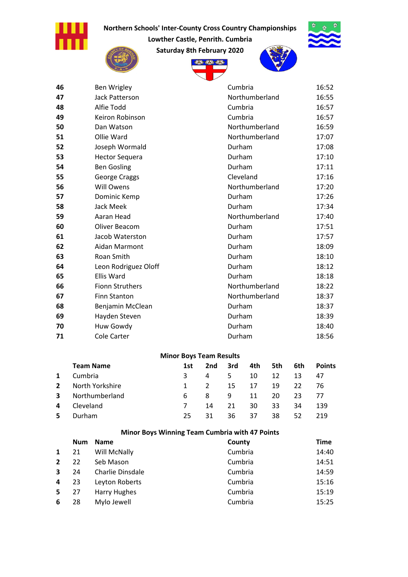



Lowther Castle, Penrith. Cumbria



Saturday 8th February 2020



| 46 | <b>Ben Wrigley</b>     | Cumbria        | 16:52 |
|----|------------------------|----------------|-------|
| 47 | <b>Jack Patterson</b>  | Northumberland | 16:55 |
| 48 | Alfie Todd             | Cumbria        | 16:57 |
| 49 | Keiron Robinson        | Cumbria        | 16:57 |
| 50 | Dan Watson             | Northumberland | 16:59 |
| 51 | Ollie Ward             | Northumberland | 17:07 |
| 52 | Joseph Wormald         | Durham         | 17:08 |
| 53 | <b>Hector Sequera</b>  | Durham         | 17:10 |
| 54 | <b>Ben Gosling</b>     | Durham         | 17:11 |
| 55 | George Craggs          | Cleveland      | 17:16 |
| 56 | <b>Will Owens</b>      | Northumberland | 17:20 |
| 57 | Dominic Kemp           | Durham         | 17:26 |
| 58 | <b>Jack Meek</b>       | Durham         | 17:34 |
| 59 | Aaran Head             | Northumberland | 17:40 |
| 60 | Oliver Beacom          | Durham         | 17:51 |
| 61 | Jacob Waterston        | Durham         | 17:57 |
| 62 | Aidan Marmont          | Durham         | 18:09 |
| 63 | Roan Smith             | Durham         | 18:10 |
| 64 | Leon Rodriguez Oloff   | Durham         | 18:12 |
| 65 | <b>Ellis Ward</b>      | Durham         | 18:18 |
| 66 | <b>Fionn Struthers</b> | Northumberland | 18:22 |
| 67 | <b>Finn Stanton</b>    | Northumberland | 18:37 |
| 68 | Benjamin McClean       | Durham         | 18:37 |
| 69 | Hayden Steven          | Durham         | 18:39 |
| 70 | Huw Gowdy              | Durham         | 18:40 |
| 71 | Cole Carter            | Durham         | 18:56 |

#### Minor Boys Team Results

|              | <b>Team Name</b> | 1st          | 2nd | 3rd | 4th | 5th | 6th | <b>Points</b> |
|--------------|------------------|--------------|-----|-----|-----|-----|-----|---------------|
| $\mathbf{1}$ | Cumbria          | З.           | 4   | 5   | 10  | 12  | 13. | 47            |
| $2^{\circ}$  | North Yorkshire  | 1            |     | 15  | 17  | 19  | 22  | -76           |
| 3            | Northumberland   | 6.           | 8   | q   | 11  | 20  | 23. | -77           |
| 4            | Cleveland        | <sup>7</sup> | 14  | 21  | 30  | 33  | 34  | 139           |
| 5.           | Durham           | 25.          | 31  | 36  | 37  | 38  | 52  | 219           |

#### Minor Boys Winning Team Cumbria with 47 Points

| <b>Num</b> | <b>Name</b>      | County  | <b>Time</b> |
|------------|------------------|---------|-------------|
| 21         | Will McNally     | Cumbria | 14:40       |
| 22         | Seb Mason        | Cumbria | 14:51       |
| 24         | Charlie Dinsdale | Cumbria | 14:59       |
| 23         | Leyton Roberts   | Cumbria | 15:16       |
| 27         | Harry Hughes     | Cumbria | 15:19       |
| 28         | Mylo Jewell      | Cumbria | 15:25       |
|            |                  |         |             |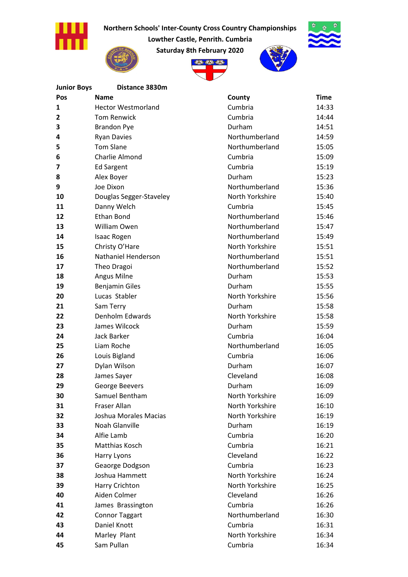

Lowther Castle, Penrith. Cumbria Saturday 8th February 2020







| <b>Junior Boys</b>      | Distance 3830m            |                 |             |
|-------------------------|---------------------------|-----------------|-------------|
| Pos                     | <b>Name</b>               | County          | <b>Time</b> |
| 1                       | <b>Hector Westmorland</b> | Cumbria         | 14:33       |
| $\overline{\mathbf{c}}$ | <b>Tom Renwick</b>        | Cumbria         | 14:44       |
| 3                       | <b>Brandon Pye</b>        | Durham          | 14:51       |
| 4                       | <b>Ryan Davies</b>        | Northumberland  | 14:59       |
| 5                       | <b>Tom Slane</b>          | Northumberland  | 15:05       |
| 6                       | Charlie Almond            | Cumbria         | 15:09       |
| 7                       | <b>Ed Sargent</b>         | Cumbria         | 15:19       |
| 8                       | Alex Boyer                | Durham          | 15:23       |
| 9                       | Joe Dixon                 | Northumberland  | 15:36       |
| 10                      | Douglas Segger-Staveley   | North Yorkshire | 15:40       |
| 11                      | Danny Welch               | Cumbria         | 15:45       |
| 12                      | <b>Ethan Bond</b>         | Northumberland  | 15:46       |
| 13                      | <b>William Owen</b>       | Northumberland  | 15:47       |
| 14                      | <b>Isaac Rogen</b>        | Northumberland  | 15:49       |
| 15                      | Christy O'Hare            | North Yorkshire | 15:51       |
| 16                      | Nathaniel Henderson       | Northumberland  | 15:51       |
| 17                      | Theo Dragoi               | Northumberland  | 15:52       |
| 18                      | Angus Milne               | Durham          | 15:53       |
| 19                      | <b>Benjamin Giles</b>     | Durham          | 15:55       |
| 20                      | Lucas Stabler             | North Yorkshire | 15:56       |
| 21                      | Sam Terry                 | Durham          | 15:58       |
| 22                      | Denholm Edwards           | North Yorkshire | 15:58       |
| 23                      | James Wilcock             | Durham          | 15:59       |
| 24                      | <b>Jack Barker</b>        | Cumbria         | 16:04       |
| 25                      | Liam Roche                | Northumberland  | 16:05       |
| 26                      | Louis Bigland             | Cumbria         | 16:06       |
| 27                      | Dylan Wilson              | Durham          | 16:07       |
| 28                      | James Sayer               | Cleveland       | 16:08       |
| 29                      | George Beevers            | Durham          | 16:09       |
| 30                      | Samuel Bentham            | North Yorkshire | 16:09       |
| 31                      | Fraser Allan              | North Yorkshire | 16:10       |
| 32                      | Joshua Morales Macias     | North Yorkshire | 16:19       |
| 33                      | Noah Glanville            | Durham          | 16:19       |
| 34                      | Alfie Lamb                | Cumbria         | 16:20       |
| 35                      | Matthias Kosch            | Cumbria         | 16:21       |
| 36                      | Harry Lyons               | Cleveland       | 16:22       |
| 37                      | Geaorge Dodgson           | Cumbria         | 16:23       |
| 38                      | Joshua Hammett            | North Yorkshire | 16:24       |
| 39                      | Harry Crichton            | North Yorkshire | 16:25       |
| 40                      | Aiden Colmer              | Cleveland       | 16:26       |
| 41                      | James Brassington         | Cumbria         | 16:26       |
| 42                      | <b>Connor Taggart</b>     | Northumberland  | 16:30       |
| 43                      | <b>Daniel Knott</b>       | Cumbria         | 16:31       |
| 44                      | Marley Plant              | North Yorkshire | 16:34       |
| 45                      | Sam Pullan                | Cumbria         | 16:34       |

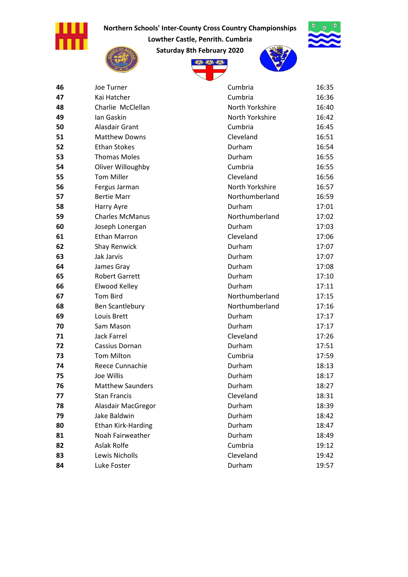

Lowther Castle, Penrith. Cumbria





| 46 | Joe Turner                | Cumbria         | 16:35 |
|----|---------------------------|-----------------|-------|
| 47 | Kai Hatcher               | Cumbria         | 16:36 |
| 48 | Charlie McClellan         | North Yorkshire | 16:40 |
| 49 | Ian Gaskin                | North Yorkshire | 16:42 |
| 50 | Alasdair Grant            | Cumbria         | 16:45 |
| 51 | <b>Matthew Downs</b>      | Cleveland       | 16:51 |
| 52 | <b>Ethan Stokes</b>       | Durham          | 16:54 |
| 53 | <b>Thomas Moles</b>       | Durham          | 16:55 |
| 54 | Oliver Willoughby         | Cumbria         | 16:55 |
| 55 | <b>Tom Miller</b>         | Cleveland       | 16:56 |
| 56 | Fergus Jarman             | North Yorkshire | 16:57 |
| 57 | <b>Bertie Marr</b>        | Northumberland  | 16:59 |
| 58 | Harry Ayre                | Durham          | 17:01 |
| 59 | <b>Charles McManus</b>    | Northumberland  | 17:02 |
| 60 | Joseph Lonergan           | Durham          | 17:03 |
| 61 | <b>Ethan Marron</b>       | Cleveland       | 17:06 |
| 62 | <b>Shay Renwick</b>       | Durham          | 17:07 |
| 63 | Jak Jarvis                | Durham          | 17:07 |
| 64 | James Gray                | Durham          | 17:08 |
| 65 | <b>Robert Garrett</b>     | Durham          | 17:10 |
| 66 | Elwood Kelley             | Durham          | 17:11 |
| 67 | <b>Tom Bird</b>           | Northumberland  | 17:15 |
| 68 | <b>Ben Scantlebury</b>    | Northumberland  | 17:16 |
| 69 | Louis Brett               | Durham          | 17:17 |
| 70 | Sam Mason                 | Durham          | 17:17 |
| 71 | <b>Jack Farrel</b>        | Cleveland       | 17:26 |
| 72 | Cassius Dornan            | Durham          | 17:51 |
| 73 | <b>Tom Milton</b>         | Cumbria         | 17:59 |
| 74 | Reece Cunnachie           | Durham          | 18:13 |
| 75 | Joe Willis                | Durham          | 18:17 |
| 76 | <b>Matthew Saunders</b>   | Durham          | 18:27 |
| 77 | <b>Stan Francis</b>       | Cleveland       | 18:31 |
| 78 | Alasdair MacGregor        | Durham          | 18:39 |
| 79 | Jake Baldwin              | Durham          | 18:42 |
| 80 | <b>Ethan Kirk-Harding</b> | Durham          | 18:47 |
| 81 | Noah Fairweather          | Durham          | 18:49 |
| 82 | Aslak Rolfe               | Cumbria         | 19:12 |
| 83 | Lewis Nicholls            | Cleveland       | 19:42 |
| 84 | Luke Foster               | Durham          | 19:57 |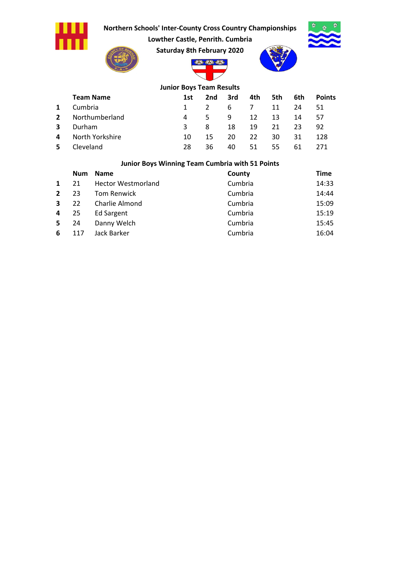

Lowther Castle, Penrith. Cumbria

Saturday 8th February 2020





23.5 **Brazil** 



## Team Name 1st 2nd 3rd 4th 5th 6th Points 1 Cumbria 1 2 6 7 11 24 51 2 Northumberland 4 5 9 12 13 14 57 3 Durham 3 8 18 19 21 23 92 4 North Yorkshire 10 15 20 22 30 31 128 5 Cleveland 28 36 40 51 55 61 271 Junior Boys Team Results

#### Junior Boys Winning Team Cumbria with 51 Points

|              | <b>Num</b> | <b>Name</b>               | County  | <b>Time</b> |
|--------------|------------|---------------------------|---------|-------------|
| $\mathbf{1}$ | 21         | <b>Hector Westmorland</b> | Cumbria | 14:33       |
| $2^{\circ}$  | 23         | Tom Renwick               | Cumbria | 14:44       |
| $\mathbf{3}$ | 22         | Charlie Almond            | Cumbria | 15:09       |
| 4            | 25         | <b>Ed Sargent</b>         | Cumbria | 15:19       |
| 5.           | 24         | Danny Welch               | Cumbria | 15:45       |
| 6            | 117        | Jack Barker               | Cumbria | 16:04       |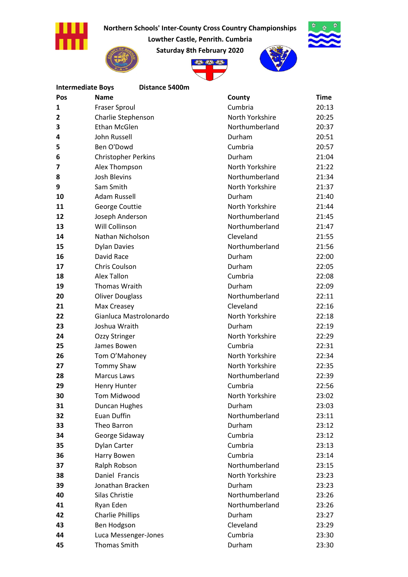





Saturday 8th February 2020

**PR** 



| <b>Intermediate Boys</b> | Distance 5400m             |                 |             |
|--------------------------|----------------------------|-----------------|-------------|
| Pos                      | <b>Name</b>                | County          | <b>Time</b> |
| 1                        | <b>Fraser Sproul</b>       | Cumbria         | 20:13       |
| 2                        | Charlie Stephenson         | North Yorkshire | 20:25       |
| 3                        | <b>Ethan McGlen</b>        | Northumberland  | 20:37       |
| 4                        | John Russell               | Durham          | 20:51       |
| 5                        | Ben O'Dowd                 | Cumbria         | 20:57       |
| 6                        | <b>Christopher Perkins</b> | Durham          | 21:04       |
| 7                        | Alex Thompson              | North Yorkshire | 21:22       |
| 8                        | <b>Josh Blevins</b>        | Northumberland  | 21:34       |
| 9                        | Sam Smith                  | North Yorkshire | 21:37       |
| 10                       | <b>Adam Russell</b>        | Durham          | 21:40       |
| 11                       | George Couttie             | North Yorkshire | 21:44       |
| 12                       | Joseph Anderson            | Northumberland  | 21:45       |
| 13                       | Will Collinson             | Northumberland  | 21:47       |
| 14                       | Nathan Nicholson           | Cleveland       | 21:55       |
| 15                       | <b>Dylan Davies</b>        | Northumberland  | 21:56       |
| 16                       | David Race                 | Durham          | 22:00       |
| 17                       | <b>Chris Coulson</b>       | Durham          | 22:05       |
| 18                       | Alex Tallon                | Cumbria         | 22:08       |
| 19                       | Thomas Wraith              | Durham          | 22:09       |
| 20                       | <b>Oliver Douglass</b>     | Northumberland  | 22:11       |
| 21                       | Max Creasey                | Cleveland       | 22:16       |
| 22                       | Gianluca Mastrolonardo     | North Yorkshire | 22:18       |
| 23                       | Joshua Wraith              | Durham          | 22:19       |
| 24                       | Ozzy Stringer              | North Yorkshire | 22:29       |
| 25                       | James Bowen                | Cumbria         | 22:31       |
| 26                       | Tom O'Mahoney              | North Yorkshire | 22:34       |
| 27                       | Tommy Shaw                 | North Yorkshire | 22:35       |
| 28                       | <b>Marcus Laws</b>         | Northumberland  | 22:39       |
| 29                       | Henry Hunter               | Cumbria         | 22:56       |
| 30                       | Tom Midwood                | North Yorkshire | 23:02       |
| 31                       | Duncan Hughes              | Durham          | 23:03       |
| 32                       | Euan Duffin                | Northumberland  | 23:11       |
| 33                       | Theo Barron                | Durham          | 23:12       |
| 34                       | George Sidaway             | Cumbria         | 23:12       |
| 35                       | Dylan Carter               | Cumbria         | 23:13       |
| 36                       | Harry Bowen                | Cumbria         | 23:14       |
| 37                       | Ralph Robson               | Northumberland  | 23:15       |
| 38                       | Daniel Francis             | North Yorkshire | 23:23       |
| 39                       | Jonathan Bracken           | Durham          | 23:23       |
| 40                       | Silas Christie             | Northumberland  | 23:26       |
| 41                       | Ryan Eden                  | Northumberland  | 23:26       |
| 42                       | <b>Charlie Phillips</b>    | Durham          | 23:27       |
| 43                       | Ben Hodgson                | Cleveland       | 23:29       |
| 44                       | Luca Messenger-Jones       | Cumbria         | 23:30       |
| 45                       | Thomas Smith               | Durham          | 23:30       |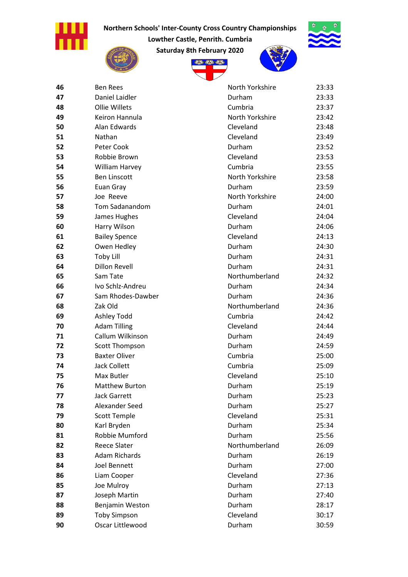

Lowther Castle, Penrith. Cumbria





| 46 | <b>Ben Rees</b>       | North Yorkshire | 23:33 |
|----|-----------------------|-----------------|-------|
| 47 | Daniel Laidler        | Durham          | 23:33 |
| 48 | Ollie Willets         | Cumbria         | 23:37 |
| 49 | Keiron Hannula        | North Yorkshire | 23:42 |
| 50 | Alan Edwards          | Cleveland       | 23:48 |
| 51 | Nathan                | Cleveland       | 23:49 |
| 52 | Peter Cook            | Durham          | 23:52 |
| 53 | Robbie Brown          | Cleveland       | 23:53 |
| 54 | William Harvey        | Cumbria         | 23:55 |
| 55 | <b>Ben Linscott</b>   | North Yorkshire | 23:58 |
| 56 | Euan Gray             | Durham          | 23:59 |
| 57 | Joe Reeve             | North Yorkshire | 24:00 |
| 58 | <b>Tom Sadanandom</b> | Durham          | 24:01 |
| 59 | James Hughes          | Cleveland       | 24:04 |
| 60 | Harry Wilson          | Durham          | 24:06 |
| 61 | <b>Bailey Spence</b>  | Cleveland       | 24:13 |
| 62 | Owen Hedley           | Durham          | 24:30 |
| 63 | <b>Toby Lill</b>      | Durham          | 24:31 |
| 64 | <b>Dillon Revell</b>  | Durham          | 24:31 |
| 65 | Sam Tate              | Northumberland  | 24:32 |
| 66 | Ivo Schlz-Andreu      | Durham          | 24:34 |
| 67 | Sam Rhodes-Dawber     | Durham          | 24:36 |
| 68 | Zak Old               | Northumberland  | 24:36 |
| 69 | <b>Ashley Todd</b>    | Cumbria         | 24:42 |
| 70 | <b>Adam Tilling</b>   | Cleveland       | 24:44 |
| 71 | Callum Wilkinson      | Durham          | 24:49 |
| 72 | Scott Thompson        | Durham          | 24:59 |
| 73 | <b>Baxter Oliver</b>  | Cumbria         | 25:00 |
| 74 | <b>Jack Collett</b>   | Cumbria         | 25:09 |
| 75 | Max Butler            | Cleveland       | 25:10 |
| 76 | <b>Matthew Burton</b> | Durham          | 25:19 |
| 77 | <b>Jack Garrett</b>   | Durham          | 25:23 |
| 78 | Alexander Seed        | Durham          | 25:27 |
| 79 | <b>Scott Temple</b>   | Cleveland       | 25:31 |
| 80 | Karl Bryden           | Durham          | 25:34 |
| 81 | Robbie Mumford        | Durham          | 25:56 |
| 82 | <b>Reece Slater</b>   | Northumberland  | 26:09 |
| 83 | <b>Adam Richards</b>  | Durham          | 26:19 |
| 84 | <b>Joel Bennett</b>   | Durham          | 27:00 |
| 86 | Liam Cooper           | Cleveland       | 27:36 |
| 85 | Joe Mulroy            | Durham          | 27:13 |
| 87 | Joseph Martin         | Durham          | 27:40 |
| 88 | Benjamin Weston       | Durham          | 28:17 |
| 89 | <b>Toby Simpson</b>   | Cleveland       | 30:17 |
| 90 | Oscar Littlewood      | Durham          | 30:59 |
|    |                       |                 |       |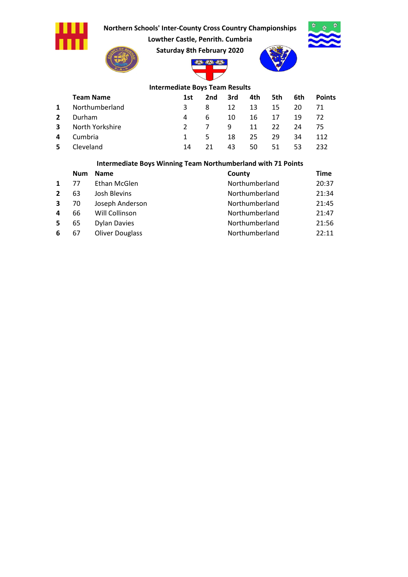

Lowther Castle, Penrith. Cumbria Saturday 8th February 2020





 $\mathcal{L}$ **Brazil** 



#### Intermediate Boys Team Results

|              | <b>Team Name</b> | 1st           | 2nd             | 3rd | 4th and the set of the set of the set of the set of the set of the set of the set of the set of the set of the | 5th          | 6th | <b>Points</b> |
|--------------|------------------|---------------|-----------------|-----|----------------------------------------------------------------------------------------------------------------|--------------|-----|---------------|
| $\mathbf{1}$ | Northumberland   | 3.            | 8               | 12  | 13                                                                                                             | 15           | 20  |               |
| $\mathbf{2}$ | Durham           | 4             | 6.              | 10  | 16                                                                                                             | -17          | 19  | -72           |
| 3            | North Yorkshire  | $\mathcal{P}$ | $7\overline{ }$ | q   | 11                                                                                                             | $22^{\circ}$ | 24  | -75           |
| 4            | Cumbria          |               | . 5.            | 18  | 25                                                                                                             | 29           | 34  | 112           |
| 5.           | Cleveland        | 14            |                 | 43  | 50                                                                                                             | 51           | 53  | 232           |

## Intermediate Boys Winning Team Northumberland with 71 Points

|                | <b>Num</b> | <b>Name</b>            | County         | <b>Time</b> |
|----------------|------------|------------------------|----------------|-------------|
| $\mathbf 1$    | 77         | Ethan McGlen           | Northumberland | 20:37       |
| $\overline{2}$ | 63         | Josh Blevins           | Northumberland | 21:34       |
| 3              | 70         | Joseph Anderson        | Northumberland | 21:45       |
| 4              | 66         | Will Collinson         | Northumberland | 21:47       |
| 5              | 65         | <b>Dylan Davies</b>    | Northumberland | 21:56       |
| 6              | 67         | <b>Oliver Douglass</b> | Northumberland | 22:11       |
|                |            |                        |                |             |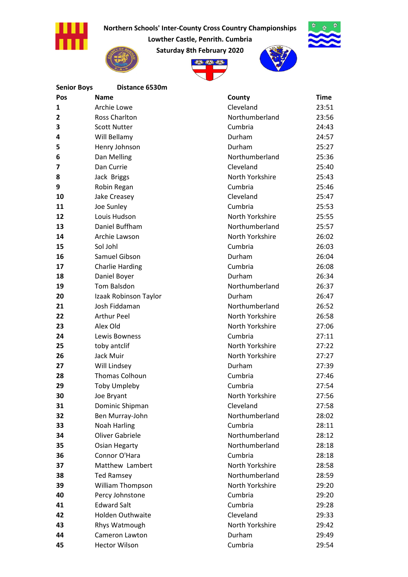

Lowther Castle, Penrith. Cumbria







| <b>Senior Boys</b> | Distance 6530m          |                 |             |
|--------------------|-------------------------|-----------------|-------------|
| Pos                | <b>Name</b>             | County          | <b>Time</b> |
| $\mathbf{1}$       | Archie Lowe             | Cleveland       | 23:51       |
| $\overline{2}$     | Ross Charlton           | Northumberland  | 23:56       |
| 3                  | <b>Scott Nutter</b>     | Cumbria         | 24:43       |
| 4                  | Will Bellamy            | Durham          | 24:57       |
| 5                  | Henry Johnson           | Durham          | 25:27       |
| 6                  | Dan Melling             | Northumberland  | 25:36       |
| 7                  | Dan Currie              | Cleveland       | 25:40       |
| 8                  | Jack Briggs             | North Yorkshire | 25:43       |
| 9                  | Robin Regan             | Cumbria         | 25:46       |
| 10                 | Jake Creasey            | Cleveland       | 25:47       |
| 11                 | Joe Sunley              | Cumbria         | 25:53       |
| 12                 | Louis Hudson            | North Yorkshire | 25:55       |
| 13                 | Daniel Buffham          | Northumberland  | 25:57       |
| 14                 | Archie Lawson           | North Yorkshire | 26:02       |
| 15                 | Sol Johl                | Cumbria         | 26:03       |
| 16                 | Samuel Gibson           | Durham          | 26:04       |
| 17                 | <b>Charlie Harding</b>  | Cumbria         | 26:08       |
| 18                 | Daniel Boyer            | Durham          | 26:34       |
| 19                 | <b>Tom Balsdon</b>      | Northumberland  | 26:37       |
| 20                 | Izaak Robinson Taylor   | Durham          | 26:47       |
| 21                 | Josh Fiddaman           | Northumberland  | 26:52       |
| 22                 | <b>Arthur Peel</b>      | North Yorkshire | 26:58       |
| 23                 | Alex Old                | North Yorkshire | 27:06       |
| 24                 | Lewis Bowness           | Cumbria         | 27:11       |
| 25                 | toby antclif            | North Yorkshire | 27:22       |
| 26                 | Jack Muir               | North Yorkshire | 27:27       |
| 27                 | Will Lindsey            | Durham          | 27:39       |
| 28                 | Thomas Colhoun          | Cumbria         | 27:46       |
| 29                 | <b>Toby Umpleby</b>     | Cumbria         | 27:54       |
| 30                 | Joe Bryant              | North Yorkshire | 27:56       |
| 31                 | Dominic Shipman         | Cleveland       | 27:58       |
| 32                 | Ben Murray-John         | Northumberland  | 28:02       |
| 33                 | Noah Harling            | Cumbria         | 28:11       |
| 34                 | <b>Oliver Gabriele</b>  | Northumberland  | 28:12       |
| 35                 | Osian Hegarty           | Northumberland  | 28:18       |
| 36                 | Connor O'Hara           | Cumbria         | 28:18       |
| 37                 | Matthew Lambert         | North Yorkshire | 28:58       |
| 38                 | <b>Ted Ramsey</b>       | Northumberland  | 28:59       |
| 39                 | William Thompson        | North Yorkshire | 29:20       |
| 40                 | Percy Johnstone         | Cumbria         | 29:20       |
| 41                 | <b>Edward Salt</b>      | Cumbria         | 29:28       |
| 42                 | <b>Holden Outhwaite</b> | Cleveland       | 29:33       |
| 43                 | Rhys Watmough           | North Yorkshire | 29:42       |
| 44                 | Cameron Lawton          | Durham          | 29:49       |
| 45                 | <b>Hector Wilson</b>    | Cumbria         | 29:54       |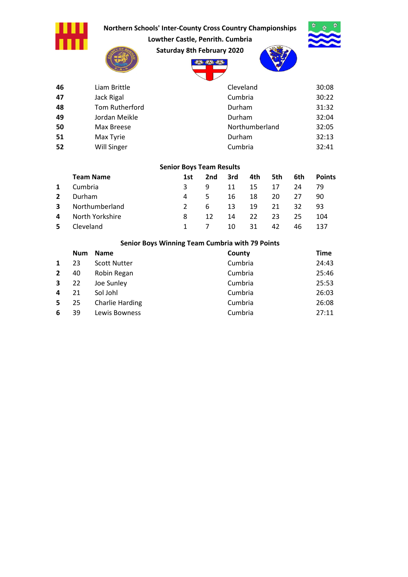|                |                  | Northern Schools' Inter-County Cross Country Championships |                                        |                 |           |                |     |     | ŵ<br>Ð        |
|----------------|------------------|------------------------------------------------------------|----------------------------------------|-----------------|-----------|----------------|-----|-----|---------------|
|                |                  |                                                            | Lowther Castle, Penrith. Cumbria       |                 |           |                |     |     |               |
|                |                  |                                                            | <b>Saturday 8th February 2020</b>      | <b>29.89.89</b> |           |                |     |     |               |
| 46             |                  | Liam Brittle                                               |                                        |                 | Cleveland |                |     |     | 30:08         |
| 47             |                  | Jack Rigal                                                 |                                        |                 | Cumbria   |                |     |     | 30:22         |
| 48             |                  | <b>Tom Rutherford</b>                                      |                                        |                 | Durham    |                |     |     | 31:32         |
| 49             |                  | Jordan Meikle                                              |                                        |                 | Durham    |                |     |     | 32:04         |
| 50             |                  | Max Breese                                                 |                                        |                 |           | Northumberland |     |     | 32:05         |
| 51             |                  | Max Tyrie                                                  |                                        |                 | Durham    |                |     |     | 32:13         |
| 52             |                  | <b>Will Singer</b>                                         |                                        |                 | Cumbria   |                |     |     | 32:41         |
|                | <b>Team Name</b> |                                                            | <b>Senior Boys Team Results</b><br>1st | 2 <sub>nd</sub> | 3rd       | 4th            | 5th | 6th | <b>Points</b> |
| 1              | Cumbria          |                                                            | 3                                      | 9               | 11        | 15             | 17  | 24  | 79            |
| $\overline{2}$ | Durham           |                                                            | 4                                      | 5               | 16        | 18             | 20  | 27  | 90            |
| 3              |                  | Northumberland                                             | $\overline{2}$                         | 6               | 13        | 19             | 21  | 32  | 93            |
| 4              |                  | North Yorkshire                                            | 8                                      | 12              | 14        | 22             | 23  | 25  | 104           |
| 5              | Cleveland        |                                                            | $\mathbf{1}$                           | $\overline{7}$  | 10        | 31             | 42  | 46  | 137           |
|                |                  | Senior Boys Winning Team Cumbria with 79 Points            |                                        |                 |           |                |     |     |               |
|                | <b>Num</b>       | <b>Name</b>                                                |                                        |                 | County    |                |     |     | <b>Time</b>   |
| 1              | 23               | <b>Scott Nutter</b>                                        |                                        |                 | Cumbria   |                |     |     | 24:43         |
| 2              | 40               | Robin Regan                                                |                                        |                 | Cumbria   |                |     |     | 25:46         |
| 3              | 22               | Joe Sunley                                                 |                                        |                 | Cumbria   |                |     |     | 25:53         |
| 4              | 21               | Sol Johl                                                   |                                        |                 | Cumbria   |                |     |     | 26:03         |
| 5              | 25               | <b>Charlie Harding</b>                                     |                                        |                 | Cumbria   |                |     |     | 26:08         |
| 6              | 39               | Lewis Bowness                                              |                                        |                 | Cumbria   |                |     |     | 27:11         |
|                |                  |                                                            |                                        |                 |           |                |     |     |               |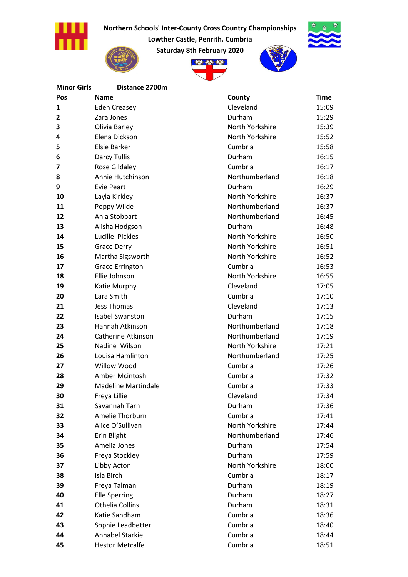

Lowther Castle, Penrith. Cumbria Saturday 8th February 2020







ŵ

| <b>Minor Girls</b>      | Distance 2700m             |                 |             |
|-------------------------|----------------------------|-----------------|-------------|
| Pos                     | <b>Name</b>                | County          | <b>Time</b> |
| 1                       | <b>Eden Creasey</b>        | Cleveland       | 15:09       |
| $\overline{\mathbf{c}}$ | Zara Jones                 | Durham          | 15:29       |
| 3                       | Olivia Barley              | North Yorkshire | 15:39       |
| 4                       | Elena Dickson              | North Yorkshire | 15:52       |
| 5                       | <b>Elsie Barker</b>        | Cumbria         | 15:58       |
| 6                       | <b>Darcy Tullis</b>        | Durham          | 16:15       |
| 7                       | Rose Gildaley              | Cumbria         | 16:17       |
| 8                       | Annie Hutchinson           | Northumberland  | 16:18       |
| 9                       | Evie Peart                 | Durham          | 16:29       |
| 10                      | Layla Kirkley              | North Yorkshire | 16:37       |
| 11                      | Poppy Wilde                | Northumberland  | 16:37       |
| 12                      | Ania Stobbart              | Northumberland  | 16:45       |
| 13                      | Alisha Hodgson             | Durham          | 16:48       |
| 14                      | Lucille Pickles            | North Yorkshire | 16:50       |
| 15                      | <b>Grace Derry</b>         | North Yorkshire | 16:51       |
| 16                      | Martha Sigsworth           | North Yorkshire | 16:52       |
| 17                      | <b>Grace Errington</b>     | Cumbria         | 16:53       |
| 18                      | Ellie Johnson              | North Yorkshire | 16:55       |
| 19                      | Katie Murphy               | Cleveland       | 17:05       |
| 20                      | Lara Smith                 | Cumbria         | 17:10       |
| 21                      | <b>Jess Thomas</b>         | Cleveland       | 17:13       |
| 22                      | <b>Isabel Swanston</b>     | Durham          | 17:15       |
| 23                      | Hannah Atkinson            | Northumberland  | 17:18       |
| 24                      | <b>Catherine Atkinson</b>  | Northumberland  | 17:19       |
| 25                      | Nadine Wilson              | North Yorkshire | 17:21       |
| 26                      | Louisa Hamlinton           | Northumberland  | 17:25       |
| 27                      | <b>Willow Wood</b>         | Cumbria         | 17:26       |
| 28                      | Amber Mcintosh             | Cumbria         | 17:32       |
| 29                      | <b>Madeline Martindale</b> | Cumbria         | 17:33       |
| 30                      | Freya Lillie               | Cleveland       | 17:34       |
| 31                      | Savannah Tarn              | Durham          | 17:36       |
| 32                      | Amelie Thorburn            | Cumbria         | 17:41       |
| 33                      | Alice O'Sullivan           | North Yorkshire | 17:44       |
| 34                      | Erin Blight                | Northumberland  | 17:46       |
| 35                      | Amelia Jones               | Durham          | 17:54       |
| 36                      | Freya Stockley             | Durham          | 17:59       |
| 37                      | Libby Acton                | North Yorkshire | 18:00       |
| 38                      | Isla Birch                 | Cumbria         | 18:17       |
| 39                      | Freya Talman               | Durham          | 18:19       |
| 40                      | <b>Elle Sperring</b>       | Durham          | 18:27       |
| 41                      | Othelia Collins            | Durham          | 18:31       |
| 42                      | Katie Sandham              | Cumbria         | 18:36       |
| 43                      | Sophie Leadbetter          | Cumbria         | 18:40       |
| 44                      | <b>Annabel Starkie</b>     | Cumbria         | 18:44       |
| 45                      | <b>Hestor Metcalfe</b>     | Cumbria         | 18:51       |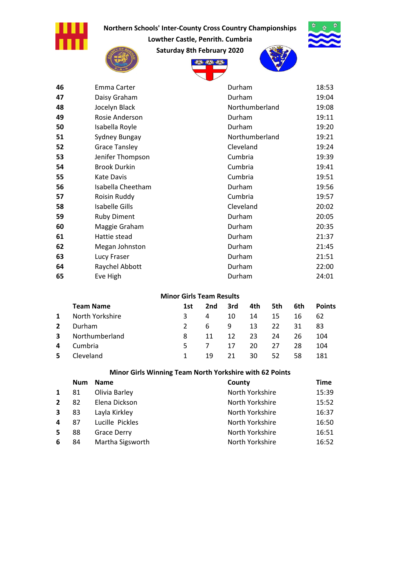| Northern Schools' Inter-County Cross Country Championships |  |  |
|------------------------------------------------------------|--|--|
|------------------------------------------------------------|--|--|



Lowther Castle, Penrith. Cumbria Saturday 8th February 2020



彩



| 46 | Emma Carter           | Durham         | 18:53 |
|----|-----------------------|----------------|-------|
| 47 | Daisy Graham          | Durham         | 19:04 |
| 48 | Jocelyn Black         | Northumberland | 19:08 |
| 49 | Rosie Anderson        | Durham         | 19:11 |
| 50 | Isabella Royle        | Durham         | 19:20 |
| 51 | Sydney Bungay         | Northumberland | 19:21 |
| 52 | <b>Grace Tansley</b>  | Cleveland      | 19:24 |
| 53 | Jenifer Thompson      | Cumbria        | 19:39 |
| 54 | <b>Brook Durkin</b>   | Cumbria        | 19:41 |
| 55 | Kate Davis            | Cumbria        | 19:51 |
| 56 | Isabella Cheetham     | Durham         | 19:56 |
| 57 | Roisin Ruddy          | Cumbria        | 19:57 |
| 58 | <b>Isabelle Gills</b> | Cleveland      | 20:02 |
| 59 | <b>Ruby Diment</b>    | Durham         | 20:05 |
| 60 | Maggie Graham         | Durham         | 20:35 |
| 61 | Hattie stead          | Durham         | 21:37 |
| 62 | Megan Johnston        | Durham         | 21:45 |
| 63 | Lucy Fraser           | Durham         | 21:51 |
| 64 | Raychel Abbott        | Durham         | 22:00 |
| 65 | Eve High              | Durham         | 24:01 |

#### Minor Girls Team Results

|              | <b>Team Name</b> | 1st           | 2nd | 3rd | 4th  | 5th | 6th | <b>Points</b> |
|--------------|------------------|---------------|-----|-----|------|-----|-----|---------------|
| 1            | North Yorkshire  | 3             | 4   | 10  | 14   | 15  | 16  | 62            |
| $\mathbf{2}$ | Durham           | $\mathcal{L}$ | 6.  | -9  | 13   | 22  | 31  | -83           |
| 3            | Northumberland   | 8             | 11  | 12  | -23- | 24  | 26  | 104           |
| 4            | Cumbria          | 5.            |     | 17  | 20   | 27  | 28  | 104           |
| 5.           | Cleveland        | 1             | 19  | 21  | 30   | 52  | 58  | 181           |

## Minor Girls Winning Team North Yorkshire with 62 Points

|              | <b>Num</b> | <b>Name</b>        | County          | <b>Time</b> |
|--------------|------------|--------------------|-----------------|-------------|
| $\mathbf{1}$ | 81         | Olivia Barley      | North Yorkshire | 15:39       |
| $2^{\circ}$  | 82         | Elena Dickson      | North Yorkshire | 15:52       |
| $\mathbf{3}$ | 83         | Layla Kirkley      | North Yorkshire | 16:37       |
| 4            | 87         | Lucille Pickles    | North Yorkshire | 16:50       |
| 5.           | 88         | <b>Grace Derry</b> | North Yorkshire | 16:51       |
| 6            | 84         | Martha Sigsworth   | North Yorkshire | 16:52       |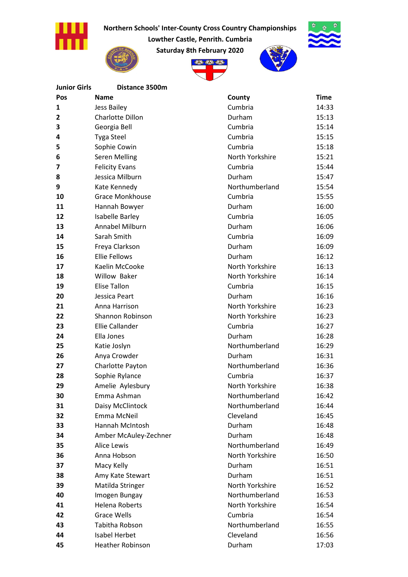



Saturday 8th February 2020



Junior Girls Distance 3500m







| 5  | Sophie Cowin           | Cumbria         | 15:18 |
|----|------------------------|-----------------|-------|
| 6  | <b>Seren Melling</b>   | North Yorkshire | 15:21 |
| 7  | <b>Felicity Evans</b>  | Cumbria         | 15:44 |
| 8  | Jessica Milburn        | Durham          | 15:47 |
| 9  | Kate Kennedy           | Northumberland  | 15:54 |
| 10 | <b>Grace Monkhouse</b> | Cumbria         | 15:55 |
| 11 | Hannah Bowyer          | Durham          | 16:00 |
| 12 | Isabelle Barley        | Cumbria         | 16:05 |
| 13 | Annabel Milburn        | Durham          | 16:06 |
| 14 | Sarah Smith            | Cumbria         | 16:09 |
| 15 | Freya Clarkson         | Durham          | 16:09 |
| 16 | <b>Ellie Fellows</b>   | Durham          | 16:12 |
| 17 | Kaelin McCooke         | North Yorkshire | 16:13 |
| 18 | Willow Baker           | North Yorkshire | 16:14 |
| 19 | <b>Elise Tallon</b>    | Cumbria         | 16:15 |
| 20 | Jessica Peart          | Durham          | 16:16 |
| 21 | Anna Harrison          | North Yorkshire | 16:23 |
| 22 | Shannon Robinson       | North Yorkshire | 16:23 |
| 23 | Ellie Callander        | Cumbria         | 16:27 |
| 24 | Ella Jones             | Durham          | 16:28 |
| 25 | Katie Joslyn           | Northumberland  | 16:29 |
| 26 | Anya Crowder           | Durham          | 16:31 |
| 27 | Charlotte Payton       | Northumberland  | 16:36 |
| 28 | Sophie Rylance         | Cumbria         | 16:37 |
| 29 | Amelie Aylesbury       | North Yorkshire | 16:38 |
| 30 | Emma Ashman            | Northumberland  | 16:42 |
| 31 | Daisy McClintock       | Northumberland  | 16:44 |
| 32 | Emma McNeil            | Cleveland       | 16:45 |
| 33 | Hannah McIntosh        | Durham          | 16:48 |
| 34 | Amber McAuley-Zechner  | Durham          | 16:48 |
| 35 | <b>Alice Lewis</b>     | Northumberland  | 16:49 |
| 36 | Anna Hobson            | North Yorkshire | 16:50 |
| 37 | Macy Kelly             | Durham          | 16:51 |
| 38 | Amy Kate Stewart       | Durham          | 16:51 |
| 39 | Matilda Stringer       | North Yorkshire | 16:52 |
| 40 | Imogen Bungay          | Northumberland  | 16:53 |
| 41 | Helena Roberts         | North Yorkshire | 16:54 |
| 42 | <b>Grace Wells</b>     | Cumbria         | 16:54 |
| 43 | Tabitha Robson         | Northumberland  | 16:55 |

| 44 | Isabel Herbet           | Cleveland | 16:56 |
|----|-------------------------|-----------|-------|
| 45 | <b>Heather Robinson</b> | Durham    | 17:03 |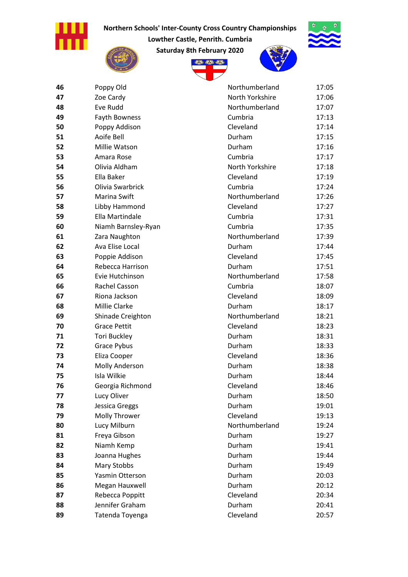

Lowther Castle, Penrith. Cumbria





| 46 | Poppy Old              | Northumberland  | 17:05 |
|----|------------------------|-----------------|-------|
| 47 | Zoe Cardy              | North Yorkshire | 17:06 |
| 48 | Eve Rudd               | Northumberland  | 17:07 |
| 49 | Fayth Bowness          | Cumbria         | 17:13 |
| 50 | Poppy Addison          | Cleveland       | 17:14 |
| 51 | Aoife Bell             | Durham          | 17:15 |
| 52 | Millie Watson          | Durham          | 17:16 |
| 53 | Amara Rose             | Cumbria         | 17:17 |
| 54 | Olivia Aldham          | North Yorkshire | 17:18 |
| 55 | Ella Baker             | Cleveland       | 17:19 |
| 56 | Olivia Swarbrick       | Cumbria         | 17:24 |
| 57 | Marina Swift           | Northumberland  | 17:26 |
| 58 | Libby Hammond          | Cleveland       | 17:27 |
| 59 | <b>Ella Martindale</b> | Cumbria         | 17:31 |
| 60 | Niamh Barnsley-Ryan    | Cumbria         | 17:35 |
| 61 | Zara Naughton          | Northumberland  | 17:39 |
| 62 | Ava Elise Local        | Durham          | 17:44 |
| 63 | Poppie Addison         | Cleveland       | 17:45 |
| 64 | Rebecca Harrison       | Durham          | 17:51 |
| 65 | Evie Hutchinson        | Northumberland  | 17:58 |
| 66 | Rachel Casson          | Cumbria         | 18:07 |
| 67 | Riona Jackson          | Cleveland       | 18:09 |
| 68 | <b>Millie Clarke</b>   | Durham          | 18:17 |
| 69 | Shinade Creighton      | Northumberland  | 18:21 |
| 70 | <b>Grace Pettit</b>    | Cleveland       | 18:23 |
| 71 | <b>Tori Buckley</b>    | Durham          | 18:31 |
| 72 | <b>Grace Pybus</b>     | Durham          | 18:33 |
| 73 | Eliza Cooper           | Cleveland       | 18:36 |
| 74 | <b>Molly Anderson</b>  | Durham          | 18:38 |
| 75 | Isla Wilkie            | Durham          | 18:44 |
| 76 | Georgia Richmond       | Cleveland       | 18:46 |
| 77 | Lucy Oliver            | Durham          | 18:50 |
| 78 | Jessica Greggs         | Durham          | 19:01 |
| 79 | Molly Thrower          | Cleveland       | 19:13 |
| 80 | Lucy Milburn           | Northumberland  | 19:24 |
| 81 | Freya Gibson           | Durham          | 19:27 |
| 82 | Niamh Kemp             | Durham          | 19:41 |
| 83 | Joanna Hughes          | Durham          | 19:44 |
| 84 | Mary Stobbs            | Durham          | 19:49 |
| 85 | Yasmin Otterson        | Durham          | 20:03 |
| 86 | Megan Hauxwell         | Durham          | 20:12 |
| 87 | Rebecca Poppitt        | Cleveland       | 20:34 |
| 88 | Jennifer Graham        | Durham          | 20:41 |
| 89 | Tatenda Toyenga        | Cleveland       | 20:57 |

|    |                       | ╰┙              |       |
|----|-----------------------|-----------------|-------|
| 46 | Poppy Old             | Northumberland  | 17:05 |
| 47 | Zoe Cardy             | North Yorkshire | 17:06 |
| 48 | Eve Rudd              | Northumberland  | 17:07 |
| 49 | Fayth Bowness         | Cumbria         | 17:13 |
| 50 | Poppy Addison         | Cleveland       | 17:14 |
| 51 | Aoife Bell            | Durham          | 17:15 |
| 52 | Millie Watson         | Durham          | 17:16 |
| 53 | Amara Rose            | Cumbria         | 17:17 |
| 54 | Olivia Aldham         | North Yorkshire | 17:18 |
| 55 | Ella Baker            | Cleveland       | 17:19 |
| 56 | Olivia Swarbrick      | Cumbria         | 17:24 |
| 57 | Marina Swift          | Northumberland  | 17:26 |
| 58 | Libby Hammond         | Cleveland       | 17:27 |
| 59 | Ella Martindale       | Cumbria         | 17:31 |
| 60 | Niamh Barnsley-Ryan   | Cumbria         | 17:35 |
| 61 | Zara Naughton         | Northumberland  | 17:39 |
| 62 | Ava Elise Local       | Durham          | 17:44 |
| 63 | Poppie Addison        | Cleveland       | 17:45 |
| 64 | Rebecca Harrison      | Durham          | 17:51 |
| 65 | Evie Hutchinson       | Northumberland  | 17:58 |
| 66 | Rachel Casson         | Cumbria         | 18:07 |
| 67 | Riona Jackson         | Cleveland       | 18:09 |
| 68 | <b>Millie Clarke</b>  | Durham          | 18:17 |
| 69 | Shinade Creighton     | Northumberland  | 18:21 |
| 70 | <b>Grace Pettit</b>   | Cleveland       | 18:23 |
| 71 | <b>Tori Buckley</b>   | Durham          | 18:31 |
| 72 | Grace Pybus           | Durham          | 18:33 |
| 73 | Eliza Cooper          | Cleveland       | 18:36 |
| 74 | <b>Molly Anderson</b> | Durham          | 18:38 |
| 75 | Isla Wilkie           | Durham          | 18:44 |
| 76 | Georgia Richmond      | Cleveland       | 18:46 |
| 77 | Lucy Oliver           | Durham          | 18:50 |
| 78 | Jessica Greggs        | Durham          | 19:01 |
| 79 | Molly Thrower         | Cleveland       | 19:13 |
| 80 | Lucy Milburn          | Northumberland  | 19:24 |
| 81 | Freya Gibson          | Durham          | 19:27 |
| 82 | Niamh Kemp            | Durham          | 19:41 |
| 83 | Joanna Hughes         | Durham          | 19:44 |
| 84 | Mary Stobbs           | Durham          | 19:49 |
| 85 | Yasmin Otterson       | Durham          | 20:03 |
| 86 | Megan Hauxwell        | Durham          | 20:12 |
| 87 | Rebecca Poppitt       | Cleveland       | 20:34 |
| 88 | Jennifer Graham       | Durham          | 20:41 |
|    |                       |                 |       |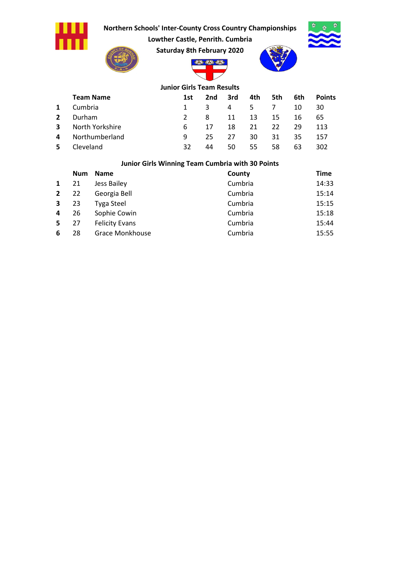

Lowther Castle, Penrith. Cumbria

Saturday 8th February 2020





88 **BEST** 



### Junior Girls Team Results

|              | <b>Team Name</b> | 1st           | 2nd | 3rd | 4th | 5th | 6th | <b>Points</b> |
|--------------|------------------|---------------|-----|-----|-----|-----|-----|---------------|
| $\mathbf{1}$ | Cumbria          | $\mathbf{1}$  | 3   | 4   | -5. | 7   | 10  | 30            |
|              | Durham           | $\mathcal{L}$ | 8   | 11  | 13  | 15  | 16  | 65            |
| 3            | North Yorkshire  | 6.            | 17  | 18  | 21  | 22. | 29  | 113           |
| 4            | Northumberland   | q             | 25. | 27  | 30  | 31  | 35  | 157           |
| 5.           | Cleveland        | 32            | 44  | 50  | 55  | 58  | 63  | 302           |

## Junior Girls Winning Team Cumbria with 30 Points

|              | <b>Num</b> | <b>Name</b>            | County  | <b>Time</b> |
|--------------|------------|------------------------|---------|-------------|
| $\mathbf{1}$ | 21         | Jess Bailey            | Cumbria | 14:33       |
| $2^{\circ}$  | 22         | Georgia Bell           | Cumbria | 15:14       |
| $\mathbf{3}$ | 23         | <b>Tyga Steel</b>      | Cumbria | 15:15       |
| 4            | 26         | Sophie Cowin           | Cumbria | 15:18       |
| 5            | 27         | <b>Felicity Evans</b>  | Cumbria | 15:44       |
| 6            | 28         | <b>Grace Monkhouse</b> | Cumbria | 15:55       |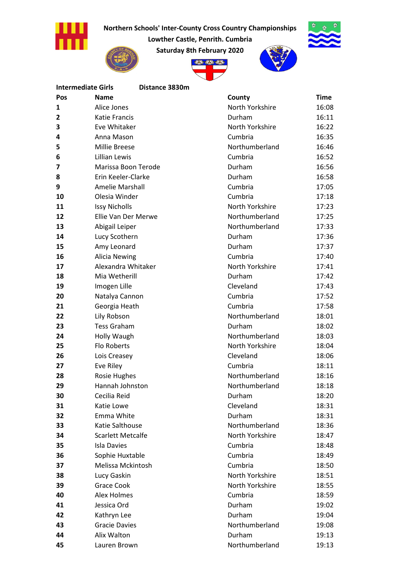









| <b>Intermediate Girls</b> | Distance 3830m           |                 |             |
|---------------------------|--------------------------|-----------------|-------------|
| Pos                       | <b>Name</b>              | County          | <b>Time</b> |
| $\mathbf{1}$              | Alice Jones              | North Yorkshire | 16:08       |
| 2                         | Katie Francis            | Durham          | 16:11       |
| 3                         | Eve Whitaker             | North Yorkshire | 16:22       |
| 4                         | Anna Mason               | Cumbria         | 16:35       |
| 5                         | <b>Millie Breese</b>     | Northumberland  | 16:46       |
| 6                         | <b>Lillian Lewis</b>     | Cumbria         | 16:52       |
| 7                         | Marissa Boon Terode      | Durham          | 16:56       |
| 8                         | Erin Keeler-Clarke       | Durham          | 16:58       |
| 9                         | <b>Amelie Marshall</b>   | Cumbria         | 17:05       |
| 10                        | Olesia Winder            | Cumbria         | 17:18       |
| 11                        | <b>Issy Nicholls</b>     | North Yorkshire | 17:23       |
| 12                        | Ellie Van Der Merwe      | Northumberland  | 17:25       |
| 13                        | Abigail Leiper           | Northumberland  | 17:33       |
| 14                        | Lucy Scothern            | Durham          | 17:36       |
| 15                        | Amy Leonard              | Durham          | 17:37       |
| 16                        | <b>Alicia Newing</b>     | Cumbria         | 17:40       |
| 17                        | Alexandra Whitaker       | North Yorkshire | 17:41       |
| 18                        | Mia Wetherill            | Durham          | 17:42       |
| 19                        | Imogen Lille             | Cleveland       | 17:43       |
| 20                        | Natalya Cannon           | Cumbria         | 17:52       |
| 21                        | Georgia Heath            | Cumbria         | 17:58       |
| 22                        | Lily Robson              | Northumberland  | 18:01       |
| 23                        | <b>Tess Graham</b>       | Durham          | 18:02       |
| 24                        | Holly Waugh              | Northumberland  | 18:03       |
| 25                        | Flo Roberts              | North Yorkshire | 18:04       |
| 26                        | Lois Creasey             | Cleveland       | 18:06       |
| 27                        | Eve Riley                | Cumbria         | 18:11       |
| 28                        | Rosie Hughes             | Northumberland  | 18:16       |
| 29                        | Hannah Johnston          | Northumberland  | 18:18       |
| 30                        | Cecilia Reid             | Durham          | 18:20       |
| 31                        | Katie Lowe               | Cleveland       | 18:31       |
| 32                        | Emma White               | Durham          | 18:31       |
| 33                        | Katie Salthouse          | Northumberland  | 18:36       |
| 34                        | <b>Scarlett Metcalfe</b> | North Yorkshire | 18:47       |
| 35                        | <b>Isla Davies</b>       | Cumbria         | 18:48       |
| 36                        | Sophie Huxtable          | Cumbria         | 18:49       |
| 37                        | Melissa Mckintosh        | Cumbria         | 18:50       |
| 38                        | Lucy Gaskin              | North Yorkshire | 18:51       |
| 39                        | <b>Grace Cook</b>        | North Yorkshire | 18:55       |
| 40                        | <b>Alex Holmes</b>       | Cumbria         | 18:59       |
| 41                        | Jessica Ord              | Durham          | 19:02       |
| 42                        | Kathryn Lee              | Durham          | 19:04       |
| 43                        | <b>Gracie Davies</b>     | Northumberland  | 19:08       |
| 44                        | Alix Walton              | Durham          | 19:13       |
| 45                        | Lauren Brown             | Northumberland  | 19:13       |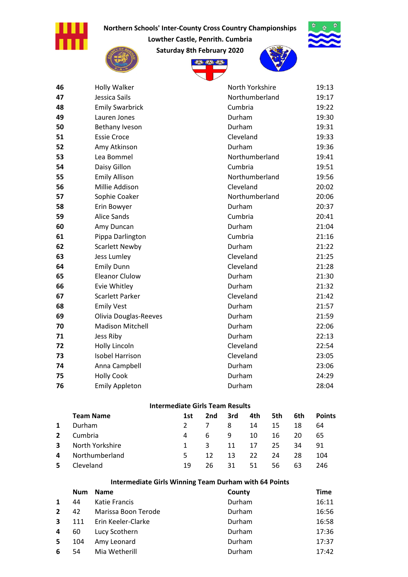

Lowther Castle, Penrith. Cumbria



Saturday 8th February 2020



| 46 | Holly Walker                 | North Yorkshire | 19:13 |
|----|------------------------------|-----------------|-------|
| 47 | Jessica Sails                | Northumberland  | 19:17 |
| 48 | <b>Emily Swarbrick</b>       | Cumbria         | 19:22 |
| 49 | Lauren Jones                 | Durham          | 19:30 |
| 50 | Bethany Iveson               | Durham          | 19:31 |
| 51 | <b>Essie Croce</b>           | Cleveland       | 19:33 |
| 52 | Amy Atkinson                 | Durham          | 19:36 |
| 53 | Lea Bommel                   | Northumberland  | 19:41 |
| 54 | Daisy Gillon                 | Cumbria         | 19:51 |
| 55 | <b>Emily Allison</b>         | Northumberland  | 19:56 |
| 56 | Millie Addison               | Cleveland       | 20:02 |
| 57 | Sophie Coaker                | Northumberland  | 20:06 |
| 58 | Erin Bowyer                  | Durham          | 20:37 |
| 59 | <b>Alice Sands</b>           | Cumbria         | 20:41 |
| 60 | Amy Duncan                   | Durham          | 21:04 |
| 61 | Pippa Darlington             | Cumbria         | 21:16 |
| 62 | <b>Scarlett Newby</b>        | Durham          | 21:22 |
| 63 | Jess Lumley                  | Cleveland       | 21:25 |
| 64 | <b>Emily Dunn</b>            | Cleveland       | 21:28 |
| 65 | <b>Eleanor Clulow</b>        | Durham          | 21:30 |
| 66 | Evie Whitley                 | Durham          | 21:32 |
| 67 | <b>Scarlett Parker</b>       | Cleveland       | 21:42 |
| 68 | <b>Emily Vest</b>            | Durham          | 21:57 |
| 69 | <b>Olivia Douglas-Reeves</b> | Durham          | 21:59 |
| 70 | <b>Madison Mitchell</b>      | Durham          | 22:06 |
| 71 | Jess Riby                    | Durham          | 22:13 |
| 72 | Holly Lincoln                | Cleveland       | 22:54 |
| 73 | <b>Isobel Harrison</b>       | Cleveland       | 23:05 |
| 74 | Anna Campbell                | Durham          | 23:06 |
| 75 | <b>Holly Cook</b>            | Durham          | 24:29 |
| 76 | <b>Emily Appleton</b>        | Durham          | 28:04 |

#### Intermediate Girls Team Results

|              | <b>Team Name</b> | 1st           | 2nd | 3rd | 4th | 5th | 6th | <b>Points</b> |
|--------------|------------------|---------------|-----|-----|-----|-----|-----|---------------|
| 1            | Durham           | $\mathcal{P}$ |     | 8   | 14  | 15  | 18  | 64            |
| $\mathbf{2}$ | Cumbria          | 4             | 6   | -9  | 10  | 16  | 20  | 65            |
| 3            | North Yorkshire  | 1.            | 3   | 11  | 17  | 25. | 34  | 91            |
| 4            | Northumberland   | 5             | 12  | 13  | 22. | 24  | 28  | 104           |
| 5.           | Cleveland        | 19            | 26. | 31  | 51. | 56  | 63  | 246           |

## Intermediate Girls Winning Team Durham with 64 Points

|              | <b>Num</b> | <b>Name</b>         | County | <b>Time</b> |
|--------------|------------|---------------------|--------|-------------|
| 1            | 44         | Katie Francis       | Durham | 16:11       |
| $\mathbf{2}$ | 42         | Marissa Boon Terode | Durham | 16:56       |
| $\mathbf{3}$ | 111        | Erin Keeler-Clarke  | Durham | 16:58       |
| 4            | 60         | Lucy Scothern       | Durham | 17:36       |
| 5            | 104        | Amy Leonard         | Durham | 17:37       |
| 6            | 54         | Mia Wetherill       | Durham | 17:42       |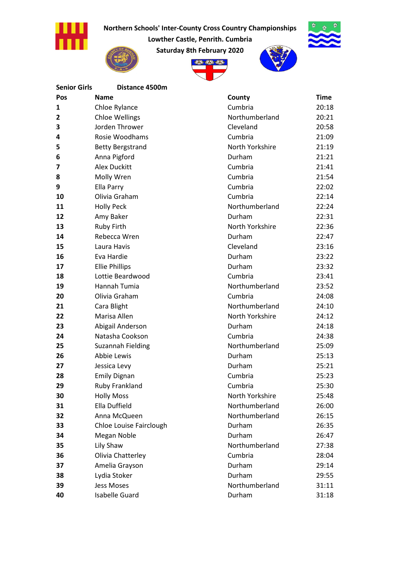

Lowther Castle, Penrith. Cumbria Saturday 8th February 2020







| <b>Senior Girls</b> | Distance 4500m          |                 |             |
|---------------------|-------------------------|-----------------|-------------|
| Pos                 | <b>Name</b>             | County          | <b>Time</b> |
| 1                   | Chloe Rylance           | Cumbria         | 20:18       |
| 2                   | <b>Chloe Wellings</b>   | Northumberland  | 20:21       |
| 3                   | Jorden Thrower          | Cleveland       | 20:58       |
| 4                   | Rosie Woodhams          | Cumbria         | 21:09       |
| 5                   | <b>Betty Bergstrand</b> | North Yorkshire | 21:19       |
| 6                   | Anna Pigford            | Durham          | 21:21       |
| 7                   | <b>Alex Duckitt</b>     | Cumbria         | 21:41       |
| 8                   | Molly Wren              | Cumbria         | 21:54       |
| 9                   | Ella Parry              | Cumbria         | 22:02       |
| 10                  | Olivia Graham           | Cumbria         | 22:14       |
| 11                  | <b>Holly Peck</b>       | Northumberland  | 22:24       |
| 12                  | Amy Baker               | Durham          | 22:31       |
| 13                  | Ruby Firth              | North Yorkshire | 22:36       |
| 14                  | Rebecca Wren            | Durham          | 22:47       |
| 15                  | Laura Havis             | Cleveland       | 23:16       |
| 16                  | Eva Hardie              | Durham          | 23:22       |
| 17                  | <b>Ellie Phillips</b>   | Durham          | 23:32       |
| 18                  | Lottie Beardwood        | Cumbria         | 23:41       |
| 19                  | Hannah Tumia            | Northumberland  | 23:52       |
| 20                  | Olivia Graham           | Cumbria         | 24:08       |
| 21                  | Cara Blight             | Northumberland  | 24:10       |
| 22                  | Marisa Allen            | North Yorkshire | 24:12       |
| 23                  | Abigail Anderson        | Durham          | 24:18       |
| 24                  | Natasha Cookson         | Cumbria         | 24:38       |
| 25                  | Suzannah Fielding       | Northumberland  | 25:09       |
| 26                  | <b>Abbie Lewis</b>      | Durham          | 25:13       |
| 27                  | Jessica Levy            | Durham          | 25:21       |
| 28                  | <b>Emily Dignan</b>     | Cumbria         | 25:23       |
| 29                  | Ruby Frankland          | Cumbria         | 25:30       |
| 30                  | <b>Holly Moss</b>       | North Yorkshire | 25:48       |
| 31                  | Ella Duffield           | Northumberland  | 26:00       |
| 32                  | Anna McQueen            | Northumberland  | 26:15       |
| 33                  | Chloe Louise Fairclough | Durham          | 26:35       |
| 34                  | Megan Noble             | Durham          | 26:47       |
| 35                  | Lily Shaw               | Northumberland  | 27:38       |
| 36                  | Olivia Chatterley       | Cumbria         | 28:04       |
| 37                  | Amelia Grayson          | Durham          | 29:14       |
| 38                  | Lydia Stoker            | Durham          | 29:55       |
| 39                  | <b>Jess Moses</b>       | Northumberland  | 31:11       |
| 40                  | <b>Isabelle Guard</b>   | Durham          | 31:18       |